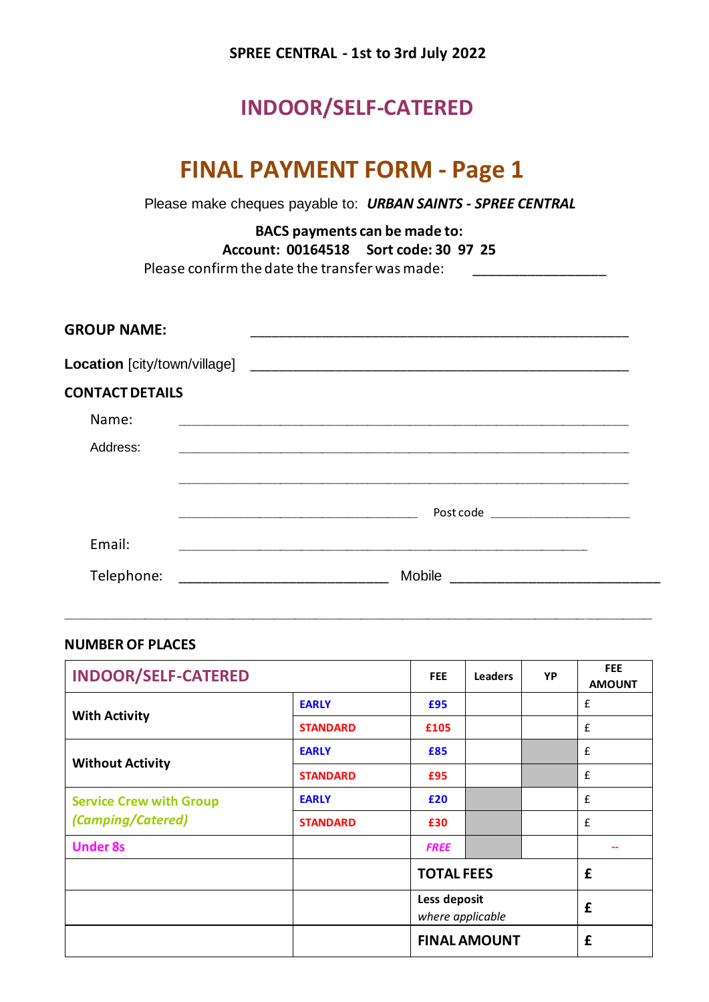### **SPREE CENTRAL - 1st to 3rd July 2022**

## **INDOOR/SELF-CATERED**

# **FINAL PAYMENT FORM - Page 1**

Please make cheques payable to: *URBAN SAINTS - SPREE CENTRAL*

**BACS payments can be made to: Account: 00164518 Sort code: 30 97 25** Please confirm the date the transfer was made:\_\_\_\_\_\_\_\_\_\_\_\_\_\_\_\_\_

| <b>GROUP NAME:</b>           | <u> Alexandria de la contrada de la contrada de la contrada de la contrada de la contrada de la contrada de la c</u> |
|------------------------------|----------------------------------------------------------------------------------------------------------------------|
| Location [city/town/village] |                                                                                                                      |
| <b>CONTACT DETAILS</b>       |                                                                                                                      |
| Name:                        |                                                                                                                      |
| Address:                     |                                                                                                                      |
|                              |                                                                                                                      |
|                              |                                                                                                                      |
| Email:                       |                                                                                                                      |
| Telephone:                   | Mobile                                                                                                               |

\_\_\_\_\_\_\_\_\_\_\_\_\_\_\_\_\_\_\_\_\_\_\_\_\_\_\_\_\_\_\_\_\_\_\_\_\_\_\_\_\_\_\_\_\_\_\_\_\_\_\_\_\_\_\_\_\_\_\_\_\_\_\_\_\_\_\_\_\_\_\_\_\_\_\_\_\_\_\_\_\_\_\_\_\_\_\_\_\_\_\_\_\_\_\_\_\_\_\_\_\_\_\_\_\_\_\_\_\_\_\_\_\_\_\_\_\_\_\_\_\_\_\_\_\_\_\_\_\_\_\_\_\_\_\_\_\_\_\_\_\_

#### **NUMBER OF PLACES**

| <b>INDOOR/SELF-CATERED</b>     |                 | <b>FEE</b>          | <b>Leaders</b>                                        | YP | <b>FEE</b><br><b>AMOUNT</b> |
|--------------------------------|-----------------|---------------------|-------------------------------------------------------|----|-----------------------------|
|                                | <b>EARLY</b>    | £95                 |                                                       |    | £                           |
| <b>With Activity</b>           | <b>STANDARD</b> | £105                |                                                       |    | £                           |
|                                | <b>EARLY</b>    | £85                 |                                                       |    | £                           |
| <b>Without Activity</b>        | <b>STANDARD</b> | £95                 |                                                       |    | £                           |
| <b>Service Crew with Group</b> | <b>EARLY</b>    | £20                 |                                                       |    | £                           |
| (Camping/Catered)              | <b>STANDARD</b> | £30                 |                                                       |    | £                           |
| <b>Under 8s</b>                |                 | <b>FREE</b>         |                                                       |    |                             |
|                                |                 |                     | <b>TOTAL FEES</b><br>Less deposit<br>where applicable |    | £                           |
|                                |                 |                     |                                                       |    | £                           |
|                                |                 | <b>FINAL AMOUNT</b> |                                                       |    | £                           |